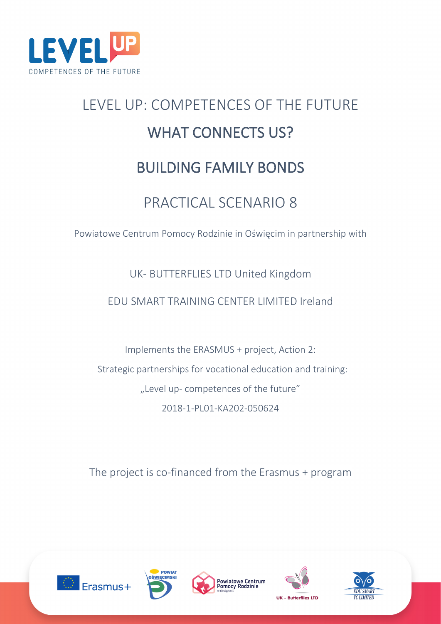

# LEVEL UP: COMPETENCES OF THE FUTURE WHAT CONNECTS US? BUILDING FAMILY BONDS

# PRACTICAL SCENARIO 8

Powiatowe Centrum Pomocy Rodzinie in Oświęcim in partnership with

# UK- BUTTERFLIES LTD United Kingdom

# EDU SMART TRAINING CENTER LIMITED Ireland

Implements the ERASMUS + project, Action 2: Strategic partnerships for vocational education and training: "Level up- competences of the future" 2018-1-PL01-KA202-050624

The project is co-financed from the Erasmus + program









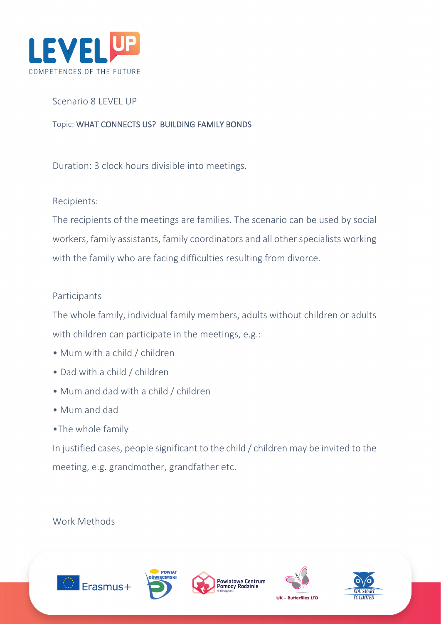

# Scenario 8 LEVEL UP

Topic: WHAT CONNECTS US? BUILDING FAMILY BONDS

Duration: 3 clock hours divisible into meetings.

# Recipients:

The recipients of the meetings are families. The scenario can be used by social workers, family assistants, family coordinators and all other specialists working with the family who are facing difficulties resulting from divorce.

# Participants

The whole family, individual family members, adults without children or adults with children can participate in the meetings, e.g.:

- Mum with a child / children
- Dad with a child / children
- Mum and dad with a child / children
- Mum and dad
- •The whole family

In justified cases, people significant to the child / children may be invited to the meeting, e.g. grandmother, grandfather etc.

# Work Methods









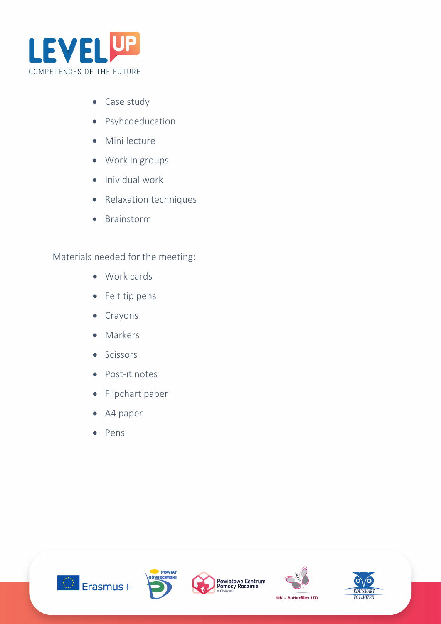

- Case study
- Psyhcoeducation
- Mini lecture
- Work in groups
- Inividual work
- Relaxation techniques
- Brainstorm

Materials needed for the meeting:

- Work cards
- Felt tip pens
- Crayons
- Markers
- Scissors
- Post-it notes
- Flipchart paper
- A4 paper
- Pens









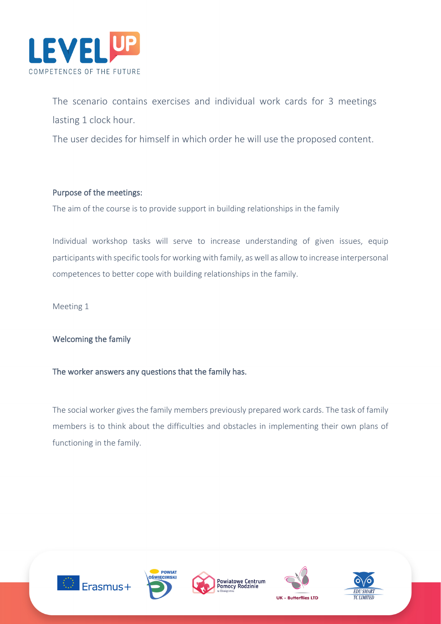

The scenario contains exercises and individual work cards for 3 meetings lasting 1 clock hour.

The user decides for himself in which order he will use the proposed content.

## Purpose of the meetings:

The aim of the course is to provide support in building relationships in the family

Individual workshop tasks will serve to increase understanding of given issues, equip participants with specific tools for working with family, as well as allow to increase interpersonal competences to better cope with building relationships in the family.

Meeting 1

## Welcoming the family

## The worker answers any questions that the family has.

The social worker gives the family members previously prepared work cards. The task of family members is to think about the difficulties and obstacles in implementing their own plans of functioning in the family.









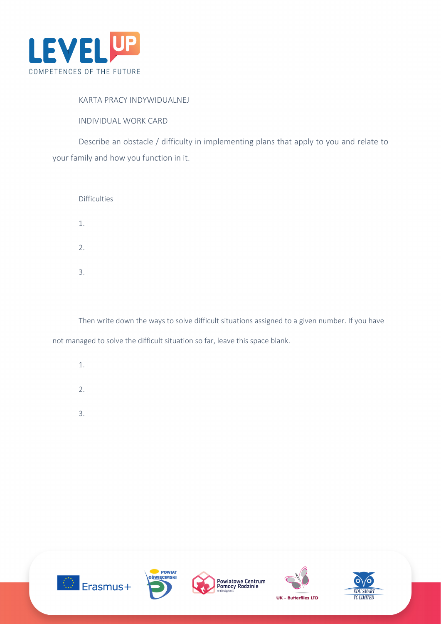

#### KARTA PRACY INDYWIDUALNEJ

INDIVIDUAL WORK CARD

Describe an obstacle / difficulty in implementing plans that apply to you and relate to your family and how you function in it.

| <b>Difficulties</b> |  |  |
|---------------------|--|--|
| 1.                  |  |  |
| 2.                  |  |  |
| 3.                  |  |  |
|                     |  |  |

Then write down the ways to solve difficult situations assigned to a given number. If you have not managed to solve the difficult situation so far, leave this space blank.

- 1.
- 
- 2.
- 3.









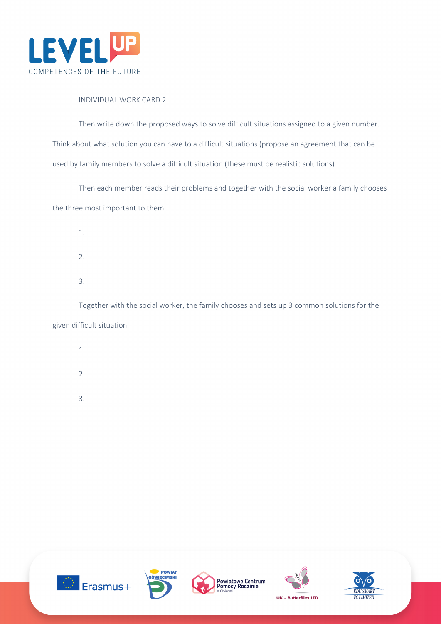

#### INDIVIDUAL WORK CARD 2

Then write down the proposed ways to solve difficult situations assigned to a given number. Think about what solution you can have to a difficult situations (propose an agreement that can be used by family members to solve a difficult situation (these must be realistic solutions)

Then each member reads their problems and together with the social worker a family chooses the three most important to them.

- 1.
- 2.
- 3.

Together with the social worker, the family chooses and sets up 3 common solutions for the given difficult situation

- 1.
- 2.
- 3.









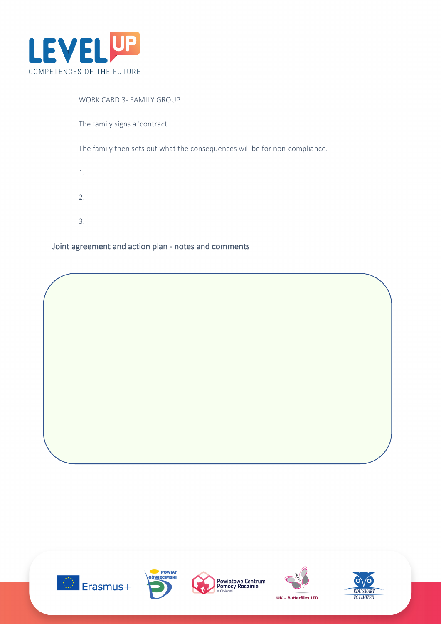

#### WORK CARD 3- FAMILY GROUP

The family signs a 'contract'

The family then sets out what the consequences will be for non-compliance.

- 1.
- 2.
- 
- 3.

## Joint agreement and action plan - notes and comments









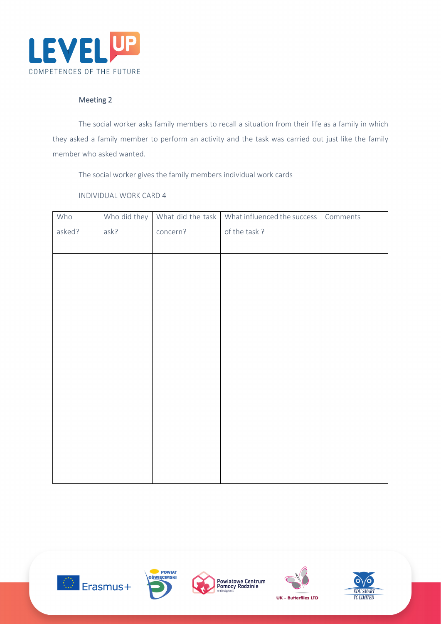

#### Meeting 2

The social worker asks family members to recall a situation from their life as a family in which they asked a family member to perform an activity and the task was carried out just like the family member who asked wanted.

The social worker gives the family members individual work cards

#### INDIVIDUAL WORK CARD 4

| Who    | Who did they | What did the task | What influenced the success | Comments |
|--------|--------------|-------------------|-----------------------------|----------|
| asked? | ask?         | concern?          | of the task?                |          |
|        |              |                   |                             |          |
|        |              |                   |                             |          |
|        |              |                   |                             |          |
|        |              |                   |                             |          |
|        |              |                   |                             |          |
|        |              |                   |                             |          |
|        |              |                   |                             |          |
|        |              |                   |                             |          |
|        |              |                   |                             |          |
|        |              |                   |                             |          |
|        |              |                   |                             |          |
|        |              |                   |                             |          |
|        |              |                   |                             |          |
|        |              |                   |                             |          |
|        |              |                   |                             |          |
|        |              |                   |                             |          |
|        |              |                   |                             |          |









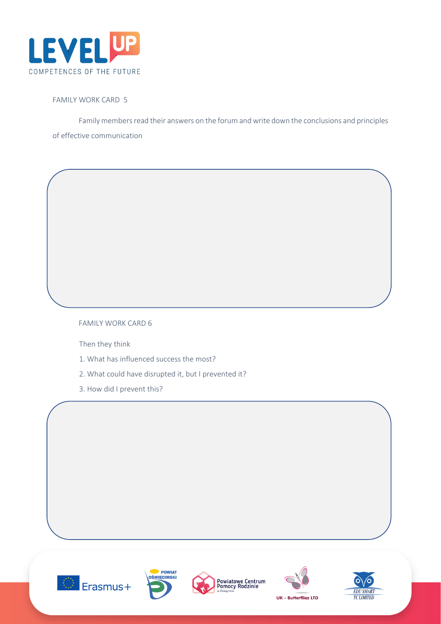

#### FAMILY WORK CARD 5

Family members read their answers on the forum and write down the conclusions and principles of effective communication

#### FAMILY WORK CARD 6

Then they think

- 1. What has influenced success the most?
- 2. What could have disrupted it, but I prevented it?
- 3. How did I prevent this?









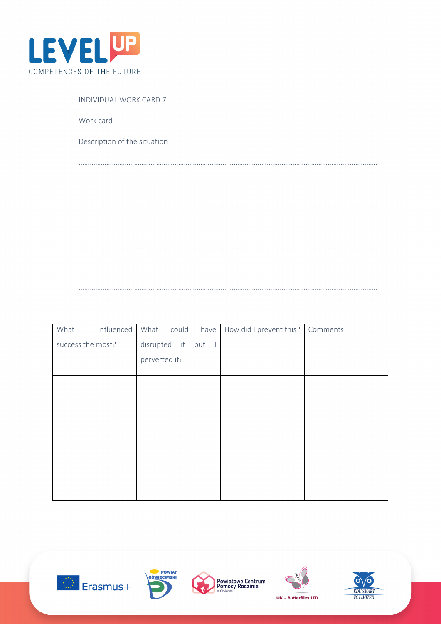

| INDIVIDUAL WORK CARD 7       |
|------------------------------|
| Work card                    |
| Description of the situation |
|                              |
|                              |
|                              |
|                              |
|                              |
|                              |

………………………………………………………………………………………………………………………………………………

| What              | influenced | What          | could | have               | How did I prevent this? | Comments |
|-------------------|------------|---------------|-------|--------------------|-------------------------|----------|
| success the most? |            |               |       | disrupted it but I |                         |          |
|                   |            | perverted it? |       |                    |                         |          |
|                   |            |               |       |                    |                         |          |
|                   |            |               |       |                    |                         |          |
|                   |            |               |       |                    |                         |          |
|                   |            |               |       |                    |                         |          |
|                   |            |               |       |                    |                         |          |
|                   |            |               |       |                    |                         |          |
|                   |            |               |       |                    |                         |          |
|                   |            |               |       |                    |                         |          |
|                   |            |               |       |                    |                         |          |
|                   |            |               |       |                    |                         |          |









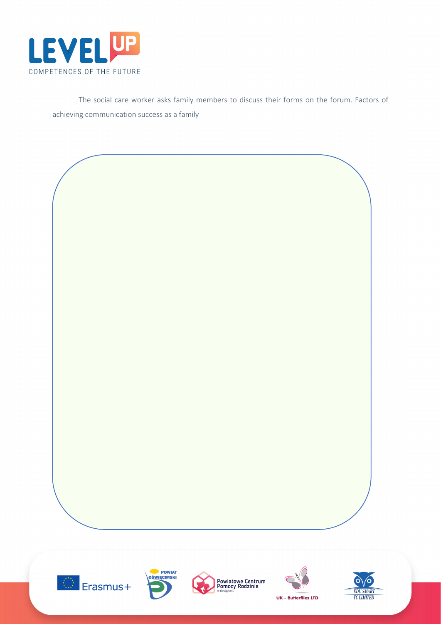

The social care worker asks family members to discuss their forms on the forum. Factors of achieving communication success as a family











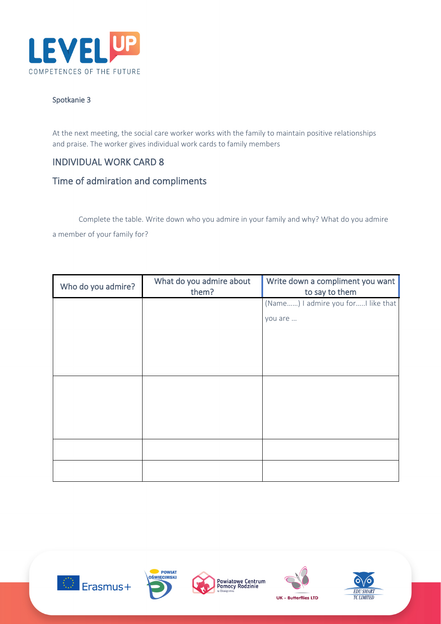

#### Spotkanie 3

At the next meeting, the social care worker works with the family to maintain positive relationships and praise. The worker gives individual work cards to family members

# INDIVIDUAL WORK CARD 8

# Time of admiration and compliments

Complete the table. Write down who you admire in your family and why? What do you admire a member of your family for?

| Who do you admire? | What do you admire about<br>them? | Write down a compliment you want<br>to say to them |
|--------------------|-----------------------------------|----------------------------------------------------|
|                    |                                   | (Name) I admire you forI like that                 |
|                    |                                   | you are                                            |
|                    |                                   |                                                    |
|                    |                                   |                                                    |
|                    |                                   |                                                    |
|                    |                                   |                                                    |
|                    |                                   |                                                    |
|                    |                                   |                                                    |
|                    |                                   |                                                    |
|                    |                                   |                                                    |
|                    |                                   |                                                    |
|                    |                                   |                                                    |